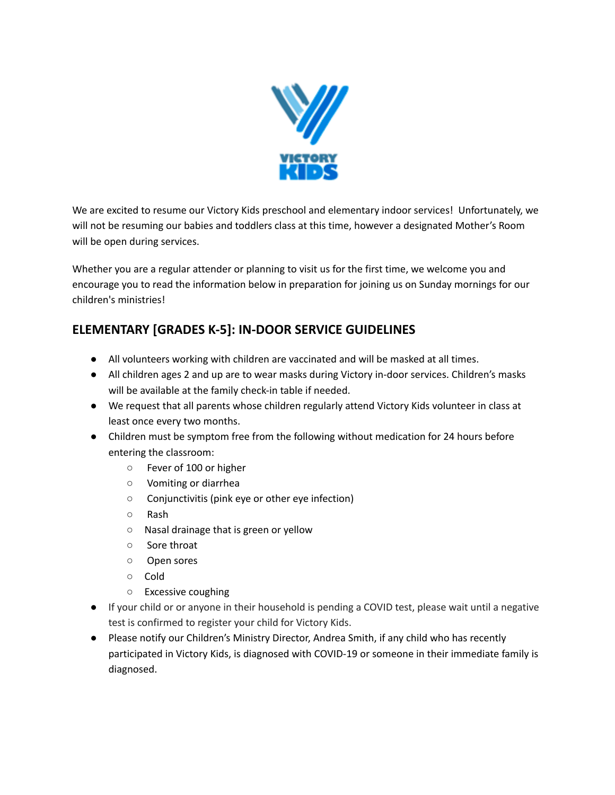

We are excited to resume our Victory Kids preschool and elementary indoor services! Unfortunately, we will not be resuming our babies and toddlers class at this time, however a designated Mother's Room will be open during services.

Whether you are a regular attender or planning to visit us for the first time, we welcome you and encourage you to read the information below in preparation for joining us on Sunday mornings for our children's ministries!

## **ELEMENTARY [GRADES K‐5]: IN-DOOR SERVICE GUIDELINES**

- All volunteers working with children are vaccinated and will be masked at all times.
- All children ages 2 and up are to wear masks during Victory in-door services. Children's masks will be available at the family check-in table if needed.
- We request that all parents whose children regularly attend Victory Kids volunteer in class at least once every two months.
- Children must be symptom free from the following without medication for 24 hours before entering the classroom:
	- Fever of 100 or higher
	- Vomiting or diarrhea
	- Conjunctivitis (pink eye or other eye infection)
	- Rash
	- Nasal drainage that is green or yellow
	- Sore throat
	- Open sores
	- Cold
	- Excessive coughing
- If your child or or anyone in their household is pending a COVID test, please wait until a negative test is confirmed to register your child for Victory Kids.
- Please notify our Children's Ministry Director, Andrea Smith, if any child who has recently participated in Victory Kids, is diagnosed with COVID-19 or someone in their immediate family is diagnosed.